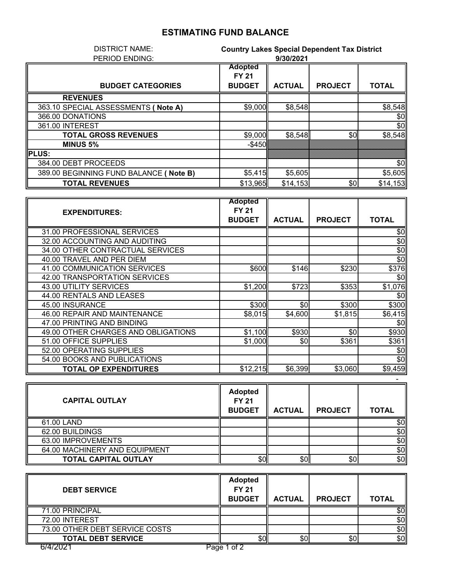## **ESTIMATING FUND BALANCE**

| <b>DISTRICT NAME:</b>                  | <b>Country Lakes Special Dependent Tax District</b> |               |                |              |
|----------------------------------------|-----------------------------------------------------|---------------|----------------|--------------|
| PERIOD ENDING:                         | 9/30/2021                                           |               |                |              |
|                                        | <b>Adopted</b>                                      |               |                |              |
|                                        | <b>FY 21</b>                                        |               |                |              |
| <b>BUDGET CATEGORIES</b>               | <b>BUDGET</b>                                       | <b>ACTUAL</b> | <b>PROJECT</b> | <b>TOTAL</b> |
| <b>REVENUES</b>                        |                                                     |               |                |              |
| 363.10 SPECIAL ASSESSMENTS ( Note A)   | \$9,000                                             | \$8,548       |                | \$8,548      |
| 366.00 DONATIONS                       |                                                     |               |                | \$0          |
| 361.00 INTEREST                        |                                                     |               |                | \$0          |
| <b>TOTAL GROSS REVENUES</b>            | \$9,000                                             | \$8,548       | \$0            | \$8,548      |
| <b>MINUS 5%</b>                        | $-$ \$450                                           |               |                |              |
| <b>IPLUS:</b>                          |                                                     |               |                |              |
| 384.00 DEBT PROCEEDS                   |                                                     |               |                | \$0          |
| 389.00 BEGINNING FUND BALANCE (Note B) | \$5,415                                             | \$5,605       |                | \$5,605      |
| <b>TOTAL REVENUES</b>                  | \$13,965                                            | \$14,153      | \$0            | \$14,153     |

|                                     | <b>Adopted</b> |               |                |              |
|-------------------------------------|----------------|---------------|----------------|--------------|
| <b>EXPENDITURES:</b>                | <b>FY 21</b>   |               |                |              |
|                                     | <b>BUDGET</b>  | <b>ACTUAL</b> | <b>PROJECT</b> | <b>TOTAL</b> |
| 31.00 PROFESSIONAL SERVICES         |                |               |                | \$0          |
| 32.00 ACCOUNTING AND AUDITING       |                |               |                | \$0          |
| 34.00 OTHER CONTRACTUAL SERVICES    |                |               |                | \$0          |
| 40.00 TRAVEL AND PER DIEM           |                |               |                | \$0          |
| 41.00 COMMUNICATION SERVICES        | \$600          | \$146         | \$230          | \$376        |
| 42.00 TRANSPORTATION SERVICES       |                |               |                | \$0          |
| 43.00 UTILITY SERVICES              | \$1,200        | \$723         | \$353          | \$1,076      |
| 44.00 RENTALS AND LEASES            |                |               |                | \$0          |
| 45.00 INSURANCE                     | \$300          | \$0           | \$300          | \$300        |
| 46.00 REPAIR AND MAINTENANCE        | \$8,015        | \$4,600       | \$1,815        | \$6,415      |
| 47.00 PRINTING AND BINDING          |                |               |                | \$0          |
| 49.00 OTHER CHARGES AND OBLIGATIONS | \$1,100        | \$930         | \$0            | \$930        |
| 51.00 OFFICE SUPPLIES               | \$1,000        | \$0           | \$361          | \$361        |
| 52.00 OPERATING SUPPLIES            |                |               |                | \$0          |
| 54.00 BOOKS AND PUBLICATIONS        |                |               |                | \$0          |
| <b>TOTAL OP EXPENDITURES</b>        | \$12,215       | \$6,399       | \$3,060        | \$9,459      |

| <b>CAPITAL OUTLAY</b>         | <b>Adopted</b><br><b>FY 21</b><br><b>BUDGET</b> | <b>ACTUAL</b> | <b>PROJECT</b> | <b>TOTAL</b> |
|-------------------------------|-------------------------------------------------|---------------|----------------|--------------|
| 61.00 LAND                    |                                                 |               |                | \$0          |
| 62.00 BUILDINGS               |                                                 |               |                | \$0          |
| 63.00 IMPROVEMENTS            |                                                 |               |                | \$0          |
| 64.00 MACHINERY AND EQUIPMENT |                                                 |               |                | \$0          |
| <b>TOTAL CAPITAL OUTLAY</b>   | \$0                                             | \$0           | \$0            | \$0          |

-

| <b>DEBT SERVICE</b>            | <b>Adopted</b><br><b>FY 21</b><br><b>BUDGET</b> | <b>ACTUAL</b> | <b>PROJECT</b> | <b>TOTAL</b> |
|--------------------------------|-------------------------------------------------|---------------|----------------|--------------|
| 71.00 PRINCIPAL                |                                                 |               |                | \$0          |
| 72.00 INTEREST                 |                                                 |               |                | \$0          |
| 73.00 OTHER DEBT SERVICE COSTS |                                                 |               |                | \$0          |
| <b>TOTAL DEBT SERVICE</b>      | \$OII                                           | \$0           | \$0            | \$0          |
| 6/4/2021<br>Page               | of 1                                            |               |                |              |